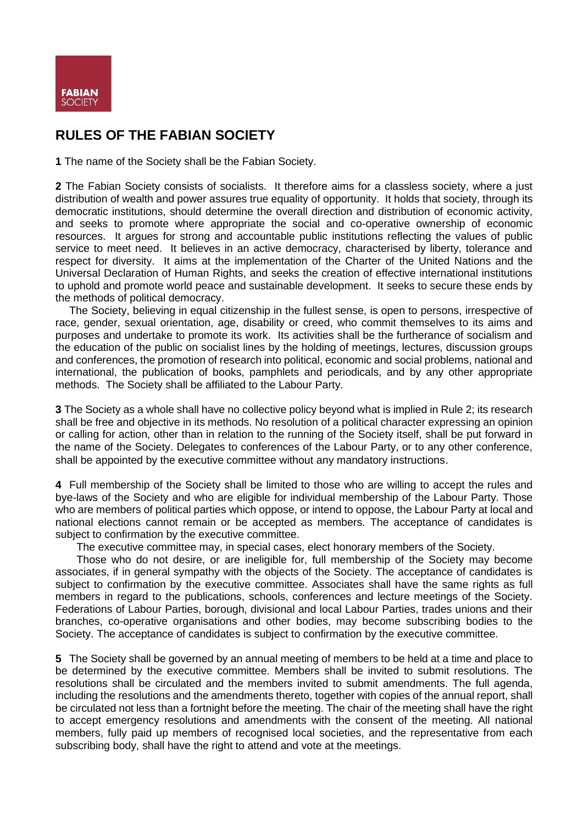

# **RULES OF THE FABIAN SOCIETY**

**1** The name of the Society shall be the Fabian Society.

**2** The Fabian Society consists of socialists. It therefore aims for a classless society, where a just distribution of wealth and power assures true equality of opportunity. It holds that society, through its democratic institutions, should determine the overall direction and distribution of economic activity, and seeks to promote where appropriate the social and co-operative ownership of economic resources. It argues for strong and accountable public institutions reflecting the values of public service to meet need. It believes in an active democracy, characterised by liberty, tolerance and respect for diversity. It aims at the implementation of the Charter of the United Nations and the Universal Declaration of Human Rights, and seeks the creation of effective international institutions to uphold and promote world peace and sustainable development. It seeks to secure these ends by the methods of political democracy.

The Society, believing in equal citizenship in the fullest sense, is open to persons, irrespective of race, gender, sexual orientation, age, disability or creed, who commit themselves to its aims and purposes and undertake to promote its work. Its activities shall be the furtherance of socialism and the education of the public on socialist lines by the holding of meetings, lectures, discussion groups and conferences, the promotion of research into political, economic and social problems, national and international, the publication of books, pamphlets and periodicals, and by any other appropriate methods. The Society shall be affiliated to the Labour Party.

**3** The Society as a whole shall have no collective policy beyond what is implied in Rule 2; its research shall be free and objective in its methods. No resolution of a political character expressing an opinion or calling for action, other than in relation to the running of the Society itself, shall be put forward in the name of the Society. Delegates to conferences of the Labour Party, or to any other conference, shall be appointed by the executive committee without any mandatory instructions.

**4** Full membership of the Society shall be limited to those who are willing to accept the rules and bye-laws of the Society and who are eligible for individual membership of the Labour Party. Those who are members of political parties which oppose, or intend to oppose, the Labour Party at local and national elections cannot remain or be accepted as members. The acceptance of candidates is subject to confirmation by the executive committee.

The executive committee may, in special cases, elect honorary members of the Society.

Those who do not desire, or are ineligible for, full membership of the Society may become associates, if in general sympathy with the objects of the Society. The acceptance of candidates is subject to confirmation by the executive committee. Associates shall have the same rights as full members in regard to the publications, schools, conferences and lecture meetings of the Society. Federations of Labour Parties, borough, divisional and local Labour Parties, trades unions and their branches, co-operative organisations and other bodies, may become subscribing bodies to the Society. The acceptance of candidates is subject to confirmation by the executive committee.

**5** The Society shall be governed by an annual meeting of members to be held at a time and place to be determined by the executive committee. Members shall be invited to submit resolutions. The resolutions shall be circulated and the members invited to submit amendments. The full agenda, including the resolutions and the amendments thereto, together with copies of the annual report, shall be circulated not less than a fortnight before the meeting. The chair of the meeting shall have the right to accept emergency resolutions and amendments with the consent of the meeting. All national members, fully paid up members of recognised local societies, and the representative from each subscribing body, shall have the right to attend and vote at the meetings.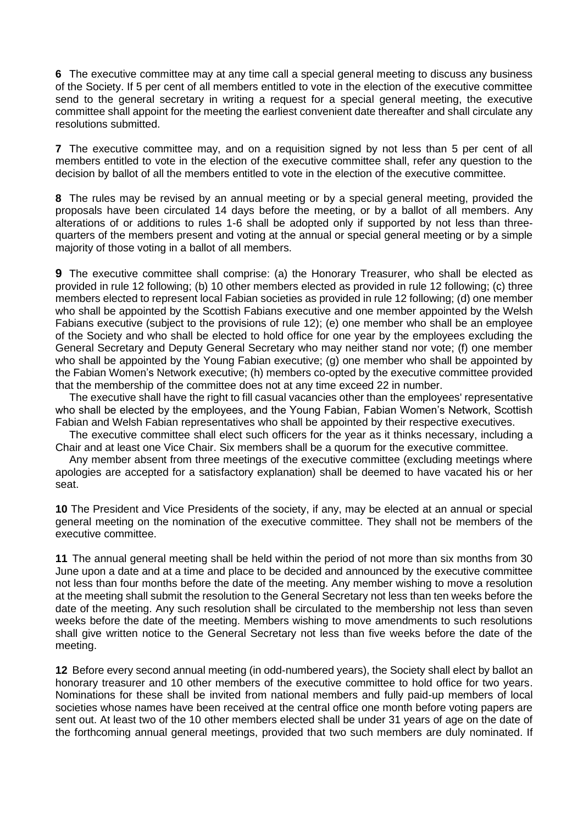**6** The executive committee may at any time call a special general meeting to discuss any business of the Society. If 5 per cent of all members entitled to vote in the election of the executive committee send to the general secretary in writing a request for a special general meeting, the executive committee shall appoint for the meeting the earliest convenient date thereafter and shall circulate any resolutions submitted.

**7** The executive committee may, and on a requisition signed by not less than 5 per cent of all members entitled to vote in the election of the executive committee shall, refer any question to the decision by ballot of all the members entitled to vote in the election of the executive committee.

**8** The rules may be revised by an annual meeting or by a special general meeting, provided the proposals have been circulated 14 days before the meeting, or by a ballot of all members. Any alterations of or additions to rules 1-6 shall be adopted only if supported by not less than threequarters of the members present and voting at the annual or special general meeting or by a simple majority of those voting in a ballot of all members.

**9** The executive committee shall comprise: (a) the Honorary Treasurer, who shall be elected as provided in rule 12 following; (b) 10 other members elected as provided in rule 12 following; (c) three members elected to represent local Fabian societies as provided in rule 12 following; (d) one member who shall be appointed by the Scottish Fabians executive and one member appointed by the Welsh Fabians executive (subject to the provisions of rule 12); (e) one member who shall be an employee of the Society and who shall be elected to hold office for one year by the employees excluding the General Secretary and Deputy General Secretary who may neither stand nor vote; (f) one member who shall be appointed by the Young Fabian executive; (g) one member who shall be appointed by the Fabian Women's Network executive; (h) members co-opted by the executive committee provided that the membership of the committee does not at any time exceed 22 in number.

The executive shall have the right to fill casual vacancies other than the employees' representative who shall be elected by the employees, and the Young Fabian, Fabian Women's Network, Scottish Fabian and Welsh Fabian representatives who shall be appointed by their respective executives.

The executive committee shall elect such officers for the year as it thinks necessary, including a Chair and at least one Vice Chair. Six members shall be a quorum for the executive committee.

Any member absent from three meetings of the executive committee (excluding meetings where apologies are accepted for a satisfactory explanation) shall be deemed to have vacated his or her seat.

**10** The President and Vice Presidents of the society, if any, may be elected at an annual or special general meeting on the nomination of the executive committee. They shall not be members of the executive committee.

**11** The annual general meeting shall be held within the period of not more than six months from 30 June upon a date and at a time and place to be decided and announced by the executive committee not less than four months before the date of the meeting. Any member wishing to move a resolution at the meeting shall submit the resolution to the General Secretary not less than ten weeks before the date of the meeting. Any such resolution shall be circulated to the membership not less than seven weeks before the date of the meeting. Members wishing to move amendments to such resolutions shall give written notice to the General Secretary not less than five weeks before the date of the meeting.

**12** Before every second annual meeting (in odd-numbered years), the Society shall elect by ballot an honorary treasurer and 10 other members of the executive committee to hold office for two years. Nominations for these shall be invited from national members and fully paid-up members of local societies whose names have been received at the central office one month before voting papers are sent out. At least two of the 10 other members elected shall be under 31 years of age on the date of the forthcoming annual general meetings, provided that two such members are duly nominated. If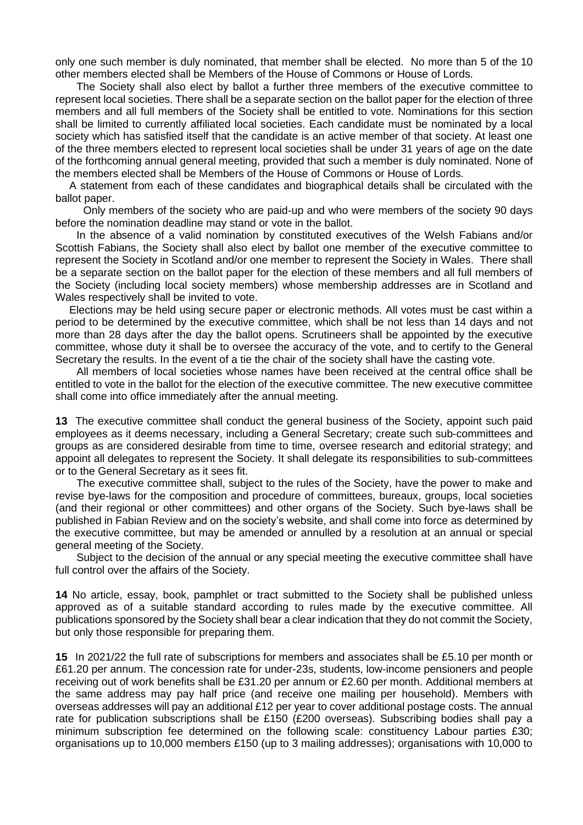only one such member is duly nominated, that member shall be elected. No more than 5 of the 10 other members elected shall be Members of the House of Commons or House of Lords.

The Society shall also elect by ballot a further three members of the executive committee to represent local societies. There shall be a separate section on the ballot paper for the election of three members and all full members of the Society shall be entitled to vote. Nominations for this section shall be limited to currently affiliated local societies. Each candidate must be nominated by a local society which has satisfied itself that the candidate is an active member of that society. At least one of the three members elected to represent local societies shall be under 31 years of age on the date of the forthcoming annual general meeting, provided that such a member is duly nominated. None of the members elected shall be Members of the House of Commons or House of Lords.

A statement from each of these candidates and biographical details shall be circulated with the ballot paper.

Only members of the society who are paid-up and who were members of the society 90 days before the nomination deadline may stand or vote in the ballot.

In the absence of a valid nomination by constituted executives of the Welsh Fabians and/or Scottish Fabians, the Society shall also elect by ballot one member of the executive committee to represent the Society in Scotland and/or one member to represent the Society in Wales. There shall be a separate section on the ballot paper for the election of these members and all full members of the Society (including local society members) whose membership addresses are in Scotland and Wales respectively shall be invited to vote.

Elections may be held using secure paper or electronic methods. All votes must be cast within a period to be determined by the executive committee, which shall be not less than 14 days and not more than 28 days after the day the ballot opens. Scrutineers shall be appointed by the executive committee, whose duty it shall be to oversee the accuracy of the vote, and to certify to the General Secretary the results. In the event of a tie the chair of the society shall have the casting vote.

All members of local societies whose names have been received at the central office shall be entitled to vote in the ballot for the election of the executive committee. The new executive committee shall come into office immediately after the annual meeting.

**13** The executive committee shall conduct the general business of the Society, appoint such paid employees as it deems necessary, including a General Secretary; create such sub-committees and groups as are considered desirable from time to time, oversee research and editorial strategy; and appoint all delegates to represent the Society. It shall delegate its responsibilities to sub-committees or to the General Secretary as it sees fit.

The executive committee shall, subject to the rules of the Society, have the power to make and revise bye-laws for the composition and procedure of committees, bureaux, groups, local societies (and their regional or other committees) and other organs of the Society. Such bye-laws shall be published in Fabian Review and on the society's website, and shall come into force as determined by the executive committee, but may be amended or annulled by a resolution at an annual or special general meeting of the Society.

Subject to the decision of the annual or any special meeting the executive committee shall have full control over the affairs of the Society.

**14** No article, essay, book, pamphlet or tract submitted to the Society shall be published unless approved as of a suitable standard according to rules made by the executive committee. All publications sponsored by the Society shall bear a clear indication that they do not commit the Society, but only those responsible for preparing them.

**15** In 2021/22 the full rate of subscriptions for members and associates shall be £5.10 per month or £61.20 per annum. The concession rate for under-23s, students, low-income pensioners and people receiving out of work benefits shall be £31.20 per annum or £2.60 per month. Additional members at the same address may pay half price (and receive one mailing per household). Members with overseas addresses will pay an additional £12 per year to cover additional postage costs. The annual rate for publication subscriptions shall be £150 (£200 overseas). Subscribing bodies shall pay a minimum subscription fee determined on the following scale: constituency Labour parties £30; organisations up to 10,000 members £150 (up to 3 mailing addresses); organisations with 10,000 to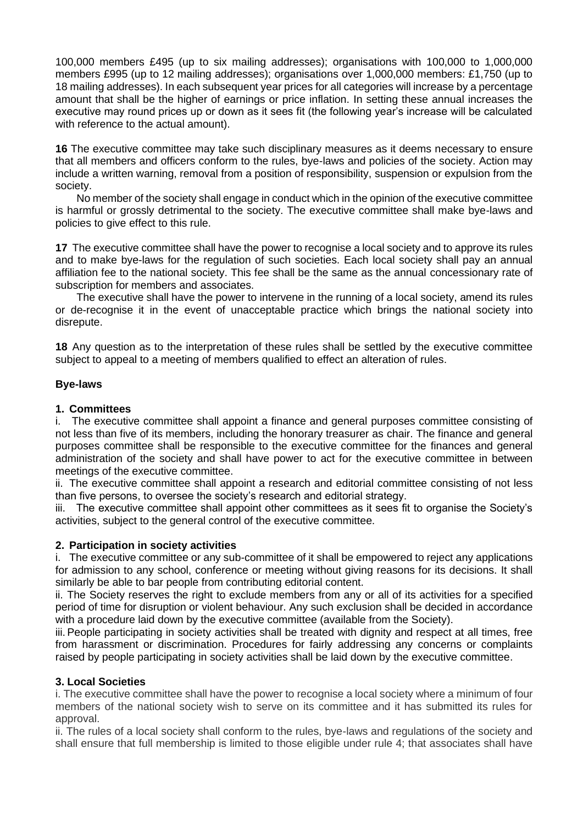100,000 members £495 (up to six mailing addresses); organisations with 100,000 to 1,000,000 members £995 (up to 12 mailing addresses); organisations over 1,000,000 members: £1,750 (up to 18 mailing addresses). In each subsequent year prices for all categories will increase by a percentage amount that shall be the higher of earnings or price inflation. In setting these annual increases the executive may round prices up or down as it sees fit (the following year's increase will be calculated with reference to the actual amount).

**16** The executive committee may take such disciplinary measures as it deems necessary to ensure that all members and officers conform to the rules, bye-laws and policies of the society. Action may include a written warning, removal from a position of responsibility, suspension or expulsion from the society.

No member of the society shall engage in conduct which in the opinion of the executive committee is harmful or grossly detrimental to the society. The executive committee shall make bye-laws and policies to give effect to this rule.

**17** The executive committee shall have the power to recognise a local society and to approve its rules and to make bye-laws for the regulation of such societies. Each local society shall pay an annual affiliation fee to the national society. This fee shall be the same as the annual concessionary rate of subscription for members and associates.

The executive shall have the power to intervene in the running of a local society, amend its rules or de-recognise it in the event of unacceptable practice which brings the national society into disrepute.

**18** Any question as to the interpretation of these rules shall be settled by the executive committee subject to appeal to a meeting of members qualified to effect an alteration of rules.

#### **Bye-laws**

#### **1. Committees**

i. The executive committee shall appoint a finance and general purposes committee consisting of not less than five of its members, including the honorary treasurer as chair. The finance and general purposes committee shall be responsible to the executive committee for the finances and general administration of the society and shall have power to act for the executive committee in between meetings of the executive committee.

ii. The executive committee shall appoint a research and editorial committee consisting of not less than five persons, to oversee the society's research and editorial strategy.

iii. The executive committee shall appoint other committees as it sees fit to organise the Society's activities, subject to the general control of the executive committee.

#### **2. Participation in society activities**

i. The executive committee or any sub-committee of it shall be empowered to reject any applications for admission to any school, conference or meeting without giving reasons for its decisions. It shall similarly be able to bar people from contributing editorial content.

ii. The Society reserves the right to exclude members from any or all of its activities for a specified period of time for disruption or violent behaviour. Any such exclusion shall be decided in accordance with a procedure laid down by the executive committee (available from the Society).

iii. People participating in society activities shall be treated with dignity and respect at all times, free from harassment or discrimination. Procedures for fairly addressing any concerns or complaints raised by people participating in society activities shall be laid down by the executive committee.

#### **3. Local Societies**

i. The executive committee shall have the power to recognise a local society where a minimum of four members of the national society wish to serve on its committee and it has submitted its rules for approval.

ii. The rules of a local society shall conform to the rules, bye-laws and regulations of the society and shall ensure that full membership is limited to those eligible under rule 4; that associates shall have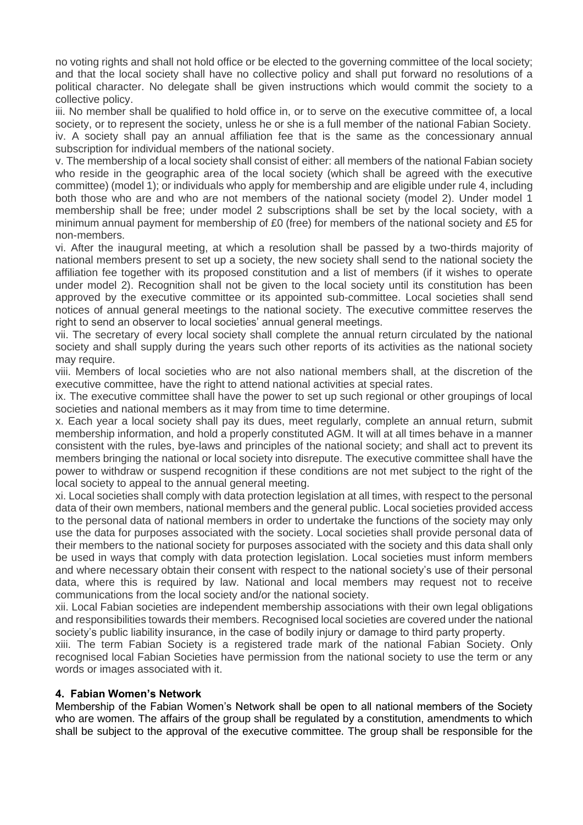no voting rights and shall not hold office or be elected to the governing committee of the local society; and that the local society shall have no collective policy and shall put forward no resolutions of a political character. No delegate shall be given instructions which would commit the society to a collective policy.

iii. No member shall be qualified to hold office in, or to serve on the executive committee of, a local society, or to represent the society, unless he or she is a full member of the national Fabian Society. iv. A society shall pay an annual affiliation fee that is the same as the concessionary annual subscription for individual members of the national society.

v. The membership of a local society shall consist of either: all members of the national Fabian society who reside in the geographic area of the local society (which shall be agreed with the executive committee) (model 1); or individuals who apply for membership and are eligible under rule 4, including both those who are and who are not members of the national society (model 2). Under model 1 membership shall be free; under model 2 subscriptions shall be set by the local society, with a minimum annual payment for membership of £0 (free) for members of the national society and £5 for non-members.

vi. After the inaugural meeting, at which a resolution shall be passed by a two-thirds majority of national members present to set up a society, the new society shall send to the national society the affiliation fee together with its proposed constitution and a list of members (if it wishes to operate under model 2). Recognition shall not be given to the local society until its constitution has been approved by the executive committee or its appointed sub-committee. Local societies shall send notices of annual general meetings to the national society. The executive committee reserves the right to send an observer to local societies' annual general meetings.

vii. The secretary of every local society shall complete the annual return circulated by the national society and shall supply during the years such other reports of its activities as the national society may require.

viii. Members of local societies who are not also national members shall, at the discretion of the executive committee, have the right to attend national activities at special rates.

ix. The executive committee shall have the power to set up such regional or other groupings of local societies and national members as it may from time to time determine.

x. Each year a local society shall pay its dues, meet regularly, complete an annual return, submit membership information, and hold a properly constituted AGM. It will at all times behave in a manner consistent with the rules, bye-laws and principles of the national society; and shall act to prevent its members bringing the national or local society into disrepute. The executive committee shall have the power to withdraw or suspend recognition if these conditions are not met subject to the right of the local society to appeal to the annual general meeting.

xi. Local societies shall comply with data protection legislation at all times, with respect to the personal data of their own members, national members and the general public. Local societies provided access to the personal data of national members in order to undertake the functions of the society may only use the data for purposes associated with the society. Local societies shall provide personal data of their members to the national society for purposes associated with the society and this data shall only be used in ways that comply with data protection legislation. Local societies must inform members and where necessary obtain their consent with respect to the national society's use of their personal data, where this is required by law. National and local members may request not to receive communications from the local society and/or the national society.

xii. Local Fabian societies are independent membership associations with their own legal obligations and responsibilities towards their members. Recognised local societies are covered under the national society's public liability insurance, in the case of bodily injury or damage to third party property.

xiii. The term Fabian Society is a registered trade mark of the national Fabian Society. Only recognised local Fabian Societies have permission from the national society to use the term or any words or images associated with it.

#### **4. Fabian Women's Network**

Membership of the Fabian Women's Network shall be open to all national members of the Society who are women. The affairs of the group shall be regulated by a constitution, amendments to which shall be subject to the approval of the executive committee. The group shall be responsible for the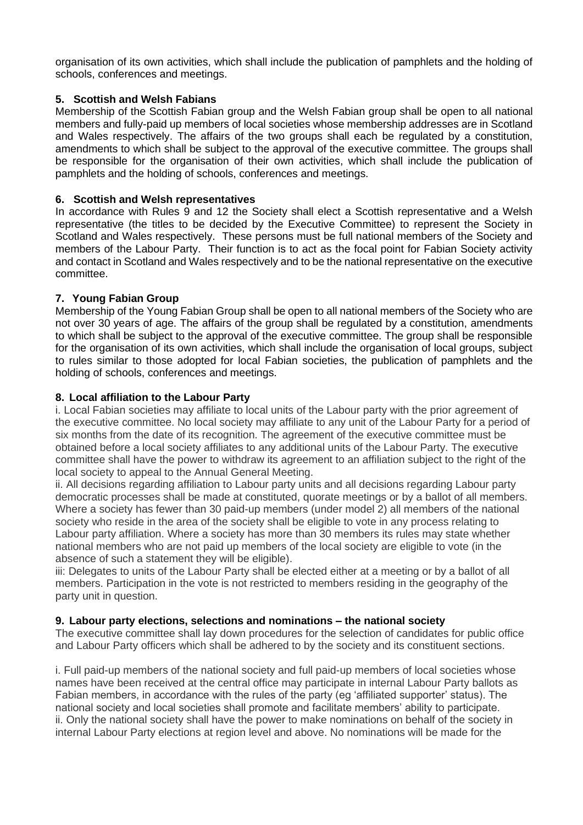organisation of its own activities, which shall include the publication of pamphlets and the holding of schools, conferences and meetings.

#### **5. Scottish and Welsh Fabians**

Membership of the Scottish Fabian group and the Welsh Fabian group shall be open to all national members and fully-paid up members of local societies whose membership addresses are in Scotland and Wales respectively. The affairs of the two groups shall each be regulated by a constitution, amendments to which shall be subject to the approval of the executive committee. The groups shall be responsible for the organisation of their own activities, which shall include the publication of pamphlets and the holding of schools, conferences and meetings.

#### **6. Scottish and Welsh representatives**

In accordance with Rules 9 and 12 the Society shall elect a Scottish representative and a Welsh representative (the titles to be decided by the Executive Committee) to represent the Society in Scotland and Wales respectively. These persons must be full national members of the Society and members of the Labour Party. Their function is to act as the focal point for Fabian Society activity and contact in Scotland and Wales respectively and to be the national representative on the executive committee.

## **7. Young Fabian Group**

Membership of the Young Fabian Group shall be open to all national members of the Society who are not over 30 years of age. The affairs of the group shall be regulated by a constitution, amendments to which shall be subject to the approval of the executive committee. The group shall be responsible for the organisation of its own activities, which shall include the organisation of local groups, subject to rules similar to those adopted for local Fabian societies, the publication of pamphlets and the holding of schools, conferences and meetings.

## **8. Local affiliation to the Labour Party**

i. Local Fabian societies may affiliate to local units of the Labour party with the prior agreement of the executive committee. No local society may affiliate to any unit of the Labour Party for a period of six months from the date of its recognition. The agreement of the executive committee must be obtained before a local society affiliates to any additional units of the Labour Party. The executive committee shall have the power to withdraw its agreement to an affiliation subject to the right of the local society to appeal to the Annual General Meeting.

ii. All decisions regarding affiliation to Labour party units and all decisions regarding Labour party democratic processes shall be made at constituted, quorate meetings or by a ballot of all members. Where a society has fewer than 30 paid-up members (under model 2) all members of the national society who reside in the area of the society shall be eligible to vote in any process relating to Labour party affiliation. Where a society has more than 30 members its rules may state whether national members who are not paid up members of the local society are eligible to vote (in the absence of such a statement they will be eligible).

iii: Delegates to units of the Labour Party shall be elected either at a meeting or by a ballot of all members. Participation in the vote is not restricted to members residing in the geography of the party unit in question.

#### **9. Labour party elections, selections and nominations – the national society**

The executive committee shall lay down procedures for the selection of candidates for public office and Labour Party officers which shall be adhered to by the society and its constituent sections.

i. Full paid-up members of the national society and full paid-up members of local societies whose names have been received at the central office may participate in internal Labour Party ballots as Fabian members, in accordance with the rules of the party (eg 'affiliated supporter' status). The national society and local societies shall promote and facilitate members' ability to participate. ii. Only the national society shall have the power to make nominations on behalf of the society in internal Labour Party elections at region level and above. No nominations will be made for the